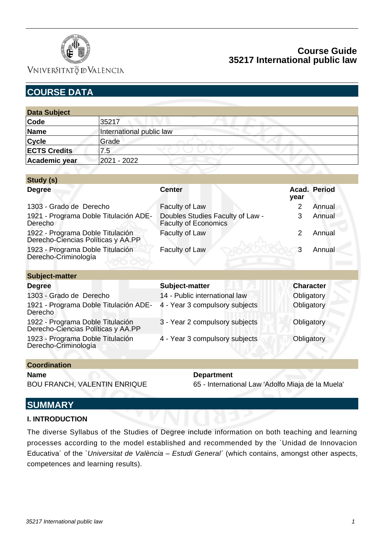

## **Course Guide 35217 International public law**

| <b>COURSE DATA</b>                                                     |                          |                                                                 |                          |
|------------------------------------------------------------------------|--------------------------|-----------------------------------------------------------------|--------------------------|
|                                                                        |                          |                                                                 |                          |
| <b>Data Subject</b>                                                    |                          |                                                                 |                          |
| Code                                                                   | 35217                    |                                                                 |                          |
| <b>Name</b>                                                            | International public law |                                                                 |                          |
| <b>Cycle</b>                                                           | Grade                    |                                                                 |                          |
| <b>ECTS Credits</b>                                                    | 7.5                      |                                                                 |                          |
| Academic year                                                          | 2021 - 2022              |                                                                 |                          |
|                                                                        |                          |                                                                 |                          |
| Study (s)                                                              |                          |                                                                 |                          |
| <b>Degree</b>                                                          |                          | <b>Center</b>                                                   | Acad. Period<br>year     |
| 1303 - Grado de Derecho                                                |                          | Faculty of Law                                                  | 2<br>Annual              |
| 1921 - Programa Doble Titulación ADE-<br><b>Derecho</b>                |                          | Doubles Studies Faculty of Law -<br><b>Faculty of Economics</b> | 3<br>Annual              |
| 1922 - Programa Doble Titulación<br>Derecho-Ciencias Políticas y AA.PP |                          | Faculty of Law                                                  | $\overline{2}$<br>Annual |
| 1923 - Programa Doble Titulación<br>Derecho-Criminología               |                          | Faculty of Law                                                  | 3<br>Annual              |
| <b>Subject-matter</b>                                                  |                          |                                                                 |                          |
| <b>Degree</b>                                                          |                          | Subject-matter                                                  | <b>Character</b>         |
| 1303 - Grado de Derecho                                                |                          | 14 - Public international law                                   | Obligatory               |
| 1921 - Programa Doble Titulación ADE-<br><b>Derecho</b>                |                          | 4 - Year 3 compulsory subjects                                  | Obligatory               |
| 1922 - Programa Doble Titulación<br>Derecho-Ciencias Políticas y AA.PP |                          | 3 - Year 2 compulsory subjects                                  | Obligatory               |
| 1923 - Programa Doble Titulación<br>Derecho-Criminología               |                          | 4 - Year 3 compulsory subjects                                  | Obligatory               |
|                                                                        |                          |                                                                 |                          |
| <b>Coordination</b>                                                    |                          |                                                                 |                          |

**Name Department** 

BOU FRANCH, VALENTIN ENRIQUE 65 - International Law 'Adolfo Miaja de la Muela'

## **SUMMARY**

### **I. INTRODUCTION**

The diverse Syllabus of the Studies of Degree include information on both teaching and learning processes according to the model established and recommended by the `Unidad de Innovacion Educativa' of the `Universitat de València - Estudi General' (which contains, amongst other aspects, competences and learning results).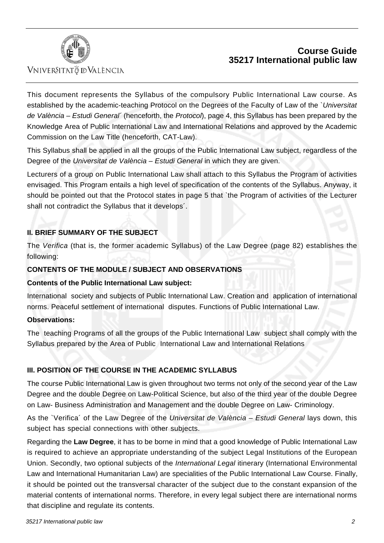

## **Course Guide 35217 International public law**

This document represents the Syllabus of the compulsory Public International Law course. As established by the academic-teaching Protocol on the Degrees of the Faculty of Law of the `Universitat de València – Estudi General' (henceforth, the Protocol), page 4, this Syllabus has been prepared by the Knowledge Area of Public International Law and International Relations and approved by the Academic Commission on the Law Title (henceforth, CAT-Law).

This Syllabus shall be applied in all the groups of the Public International Law subject, regardless of the Degree of the Universitat de València – Estudi General in which they are given.

Lecturers of a group on Public International Law shall attach to this Syllabus the Program of activities envisaged. This Program entails a high level of specification of the contents of the Syllabus. Anyway, it should be pointed out that the Protocol states in page 5 that `the Program of activities of the Lecturer shall not contradict the Syllabus that it develops´.

## **II. BRIEF SUMMARY OF THE SUBJECT**

The Verifica (that is, the former academic Syllabus) of the Law Degree (page 82) establishes the following:

### **CONTENTS OF THE MODULE / SUBJECT AND OBSERVATIONS**

### **Contents of the Public International Law subject:**

International society and subjects of Public International Law. Creation and application of international norms. Peaceful settlement of international disputes. Functions of Public International Law.

### **Observations:**

The teaching Programs of all the groups of the Public International Law subject shall comply with the Syllabus prepared by the Area of Public International Law and International Relations

### **III. POSITION OF THE COURSE IN THE ACADEMIC SYLLABUS**

The course Public International Law is given throughout two terms not only of the second year of the Law Degree and the double Degree on Law-Political Science, but also of the third year of the double Degree on Law- Business Administration and Management and the double Degree on Law- Criminology.

As the `Verifica' of the Law Degree of the Universitat de València – Estudi General lays down, this subject has special connections with other subjects.

Regarding the **Law Degree**, it has to be borne in mind that a good knowledge of Public International Law is required to achieve an appropriate understanding of the subject Legal Institutions of the European Union. Secondly, two optional subjects of the International Legal itinerary (International Environmental Law and International Humanitarian Law) are specialities of the Public International Law Course. Finally, it should be pointed out the transversal character of the subject due to the constant expansion of the material contents of international norms. Therefore, in every legal subject there are international norms that discipline and regulate its contents.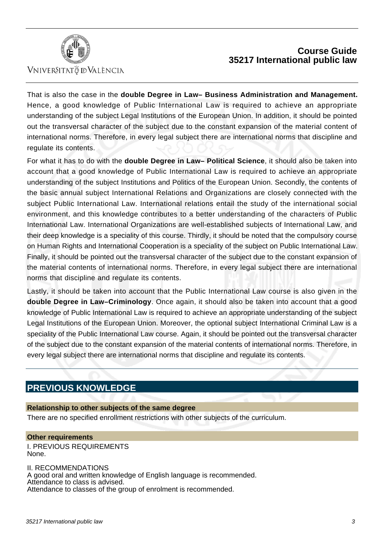



That is also the case in the **double Degree in Law– Business Administration and Management.** Hence, a good knowledge of Public International Law is required to achieve an appropriate understanding of the subject Legal Institutions of the European Union. In addition, it should be pointed out the transversal character of the subject due to the constant expansion of the material content of international norms. Therefore, in every legal subject there are international norms that discipline and regulate its contents.

For what it has to do with the **double Degree in Law– Political Science**, it should also be taken into account that a good knowledge of Public International Law is required to achieve an appropriate understanding of the subject Institutions and Politics of the European Union. Secondly, the contents of the basic annual subject International Relations and Organizations are closely connected with the subject Public International Law. International relations entail the study of the international social environment, and this knowledge contributes to a better understanding of the characters of Public International Law. International Organizations are well-established subjects of International Law, and their deep knowledge is a speciality of this course. Thirdly, it should be noted that the compulsory course on Human Rights and International Cooperation is a speciality of the subject on Public International Law. Finally, it should be pointed out the transversal character of the subject due to the constant expansion of the material contents of international norms. Therefore, in every legal subject there are international norms that discipline and regulate its contents.

Lastly, it should be taken into account that the Public International Law course is also given in the **double Degree in Law–Criminology**. Once again, it should also be taken into account that a good knowledge of Public International Law is required to achieve an appropriate understanding of the subject Legal Institutions of the European Union. Moreover, the optional subject International Criminal Law is a speciality of the Public International Law course. Again, it should be pointed out the transversal character of the subject due to the constant expansion of the material contents of international norms. Therefore, in every legal subject there are international norms that discipline and regulate its contents.

## **PREVIOUS KNOWLEDGE**

### **Relationship to other subjects of the same degree**

There are no specified enrollment restrictions with other subjects of the curriculum.

#### **Other requirements** I. PREVIOUS REQUIREMENTS None.

II. RECOMMENDATIONS A good oral and written knowledge of English language is recommended. Attendance to class is advised. Attendance to classes of the group of enrolment is recommended.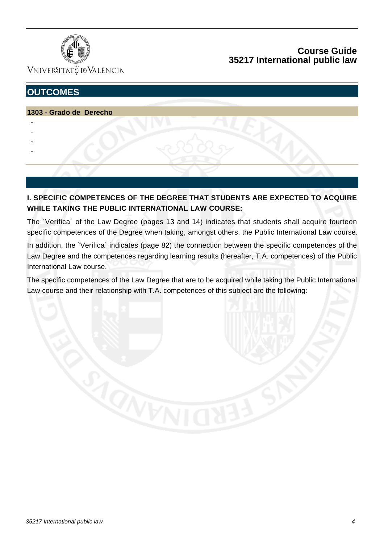

VNIVERSITATÖ ID VALÈNCIA

# **OUTCOMES**

### **1303 - Grado de Derecho**

- -
- -
- -
- -

**I. SPECIFIC COMPETENCES OF THE DEGREE THAT STUDENTS ARE EXPECTED TO ACQUIRE WHILE TAKING THE PUBLIC INTERNATIONAL LAW COURSE:**

The `Verifica´ of the Law Degree (pages 13 and 14) indicates that students shall acquire fourteen specific competences of the Degree when taking, amongst others, the Public International Law course.

In addition, the `Verifica' indicates (page 82) the connection between the specific competences of the Law Degree and the competences regarding learning results (hereafter, T.A. competences) of the Public International Law course.

The specific competences of the Law Degree that are to be acquired while taking the Public International Law course and their relationship with T.A. competences of this subject are the following: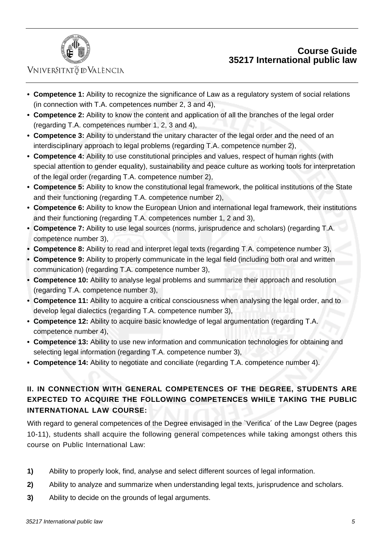

## VNIVERSITATÖ ID VALÈNCIA

- **Competence 1:** Ability to recognize the significance of Law as a regulatory system of social relations **•** (in connection with T.A. competences number 2, 3 and 4),
- **Competence 2:** Ability to know the content and application of all the branches of the legal order **•** (regarding T.A. competences number 1, 2, 3 and 4),
- **Competence 3:** Ability to understand the unitary character of the legal order and the need of an **•** interdisciplinary approach to legal problems (regarding T.A. competence number 2),
- **Competence 4:** Ability to use constitutional principles and values, respect of human rights (with **•** special attention to gender equality), sustainability and peace culture as working tools for interpretation of the legal order (regarding T.A. competence number 2),
- **Competence 5:** Ability to know the constitutional legal framework, the political institutions of the State **•** and their functioning (regarding T.A. competence number 2),
- **Competence 6:** Ability to know the European Union and international legal framework, their institutions **•** and their functioning (regarding T.A. competences number 1, 2 and 3),
- **Competence 7:** Ability to use legal sources (norms, jurisprudence and scholars) (regarding T.A. **•** competence number 3),
- **• Competence 8:** Ability to read and interpret legal texts (regarding T.A. competence number 3),
- **Competence 9:** Ability to properly communicate in the legal field (including both oral and written **•** communication) (regarding T.A. competence number 3),
- **Competence 10:** Ability to analyse legal problems and summarize their approach and resolution **•** (regarding T.A. competence number 3),
- **Competence 11:** Ability to acquire a critical consciousness when analysing the legal order, and to **•** develop legal dialectics (regarding T.A. competence number 3),
- **Competence 12:** Ability to acquire basic knowledge of legal argumentation (regarding T.A. **•** competence number 4),
- **Competence 13:** Ability to use new information and communication technologies for obtaining and **•** selecting legal information (regarding T.A. competence number 3),
- **• Competence 14:** Ability to negotiate and conciliate (regarding T.A. competence number 4).

## **II. IN CONNECTION WITH GENERAL COMPETENCES OF THE DEGREE, STUDENTS ARE EXPECTED TO ACQUIRE THE FOLLOWING COMPETENCES WHILE TAKING THE PUBLIC INTERNATIONAL LAW COURSE:**

With regard to general competences of the Degree envisaged in the `Verifica´ of the Law Degree (pages 10-11), students shall acquire the following general competences while taking amongst others this course on Public International Law:

- **1)** Ability to properly look, find, analyse and select different sources of legal information.
- **2)** Ability to analyze and summarize when understanding legal texts, jurisprudence and scholars.
- **3)** Ability to decide on the grounds of legal arguments.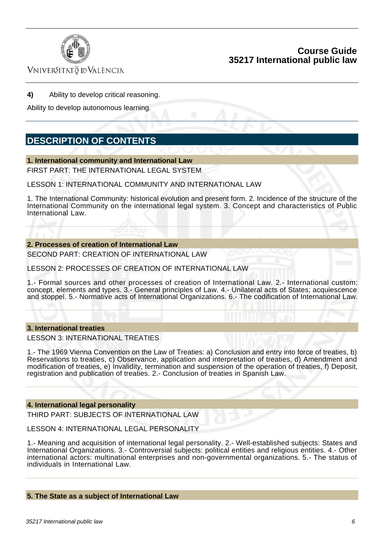

Vniver§itatğ dValència

**4)** Ability to develop critical reasoning.

Ability to develop autonomous learning.

## **DESCRIPTION OF CONTENTS**

#### **1. International community and International Law**

FIRST PART: THE INTERNATIONAL LEGAL SYSTEM

LESSON 1: INTERNATIONAL COMMUNITY AND INTERNATIONAL LAW

1. The International Community: historical evolution and present form. 2. Incidence of the structure of the International Community on the international legal system. 3. Concept and characteristics of Public International Law.

**2. Processes of creation of International Law**

SECOND PART: CREATION OF INTERNATIONAL LAW

LESSON 2: PROCESSES OF CREATION OF INTERNATIONAL LAW

1.- Formal sources and other processes of creation of International Law. 2.- International custom: concept, elements and types. 3.- General principles of Law. 4.- Unilateral acts of States; acquiescence and stoppel. 5.- Normative acts of International Organizations. 6.- The codification of International Law.

#### **3. International treaties**

LESSON 3: INTERNATIONAL TREATIES

1.- The 1969 Vienna Convention on the Law of Treaties: a) Conclusion and entry into force of treaties, b) Reservations to treaties, c) Observance, application and interpretation of treaties, d) Amendment and modification of treaties, e) Invalidity, termination and suspension of the operation of treaties, f) Deposit, registration and publication of treaties. 2.- Conclusion of treaties in Spanish Law.

#### **4. International legal personality**

THIRD PART: SUBJECTS OF INTERNATIONAL LAW

LESSON 4: INTERNATIONAL LEGAL PERSONALITY

1.- Meaning and acquisition of international legal personality. 2.- Well-established subjects: States and International Organizations. 3.- Controversial subjects: political entities and religious entities. 4.- Other international actors: multinational enterprises and non-governmental organizations. 5.- The status of individuals in International Law.

#### **5. The State as a subject of International Law**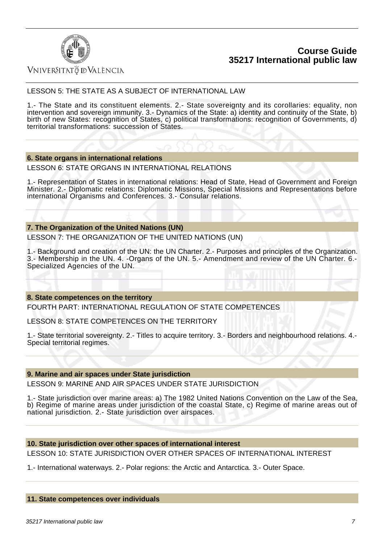



### Vniver§itatğ dValència

### LESSON 5: THE STATE AS A SUBJECT OF INTERNATIONAL LAW

1.- The State and its constituent elements. 2.- State sovereignty and its corollaries: equality, non intervention and sovereign immunity. 3.- Dynamics of the State: a) identity and continuity of the State, b) birth of new States: recognition of States, c) political transformations: recognition of Governments, d) territorial transformations: succession of States.

### **6. State organs in international relations**

LESSON 6: STATE ORGANS IN INTERNATIONAL RELATIONS

1.- Representation of States in international relations: Head of State, Head of Government and Foreign Minister. 2.- Diplomatic relations: Diplomatic Missions, Special Missions and Representations before international Organisms and Conferences. 3.- Consular relations.

#### **7. The Organization of the United Nations (UN)**

LESSON 7: THE ORGANIZATION OF THE UNITED NATIONS (UN)

1.- Background and creation of the UN: the UN Charter. 2.- Purposes and principles of the Organization. 3.- Membership in the UN. 4. -Organs of the UN. 5.- Amendment and review of the UN Charter. 6.- Specialized Agencies of the UN.

### **8. State competences on the territory**

FOURTH PART: INTERNATIONAL REGULATION OF STATE COMPETENCES

LESSON 8: STATE COMPETENCES ON THE TERRITORY

1.- State territorial sovereignty. 2.- Titles to acquire territory. 3.- Borders and neighbourhood relations. 4.- Special territorial regimes.

#### **9. Marine and air spaces under State jurisdiction**

LESSON 9: MARINE AND AIR SPACES UNDER STATE JURISDICTION

1.- State jurisdiction over marine areas: a) The 1982 United Nations Convention on the Law of the Sea, b) Regime of marine areas under jurisdiction of the coastal State, c) Regime of marine areas out of national jurisdiction. 2.- State jurisdiction over airspaces.

#### **10. State jurisdiction over other spaces of international interest**

LESSON 10: STATE JURISDICTION OVER OTHER SPACES OF INTERNATIONAL INTEREST

1.- International waterways. 2.- Polar regions: the Arctic and Antarctica. 3.- Outer Space.

### **11. State competences over individuals**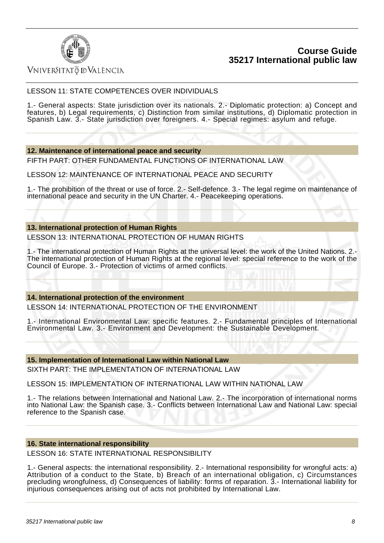

## Vniver§itatğ dValència

### LESSON 11: STATE COMPETENCES OVER INDIVIDUALS

1.- General aspects: State jurisdiction over its nationals. 2.- Diplomatic protection: a) Concept and features, b) Legal requirements, c) Distinction from similar institutions, d) Diplomatic protection in Spanish Law. 3.- State jurisdiction over foreigners. 4.- Special regimes: asylum and refuge.

#### **12. Maintenance of international peace and security**

FIFTH PART: OTHER FUNDAMENTAL FUNCTIONS OF INTERNATIONAL LAW

LESSON 12: MAINTENANCE OF INTERNATIONAL PEACE AND SECURITY

1.- The prohibition of the threat or use of force. 2.- Self-defence. 3.- The legal regime on maintenance of international peace and security in the UN Charter. 4.- Peacekeeping operations.

#### **13. International protection of Human Rights**

LESSON 13: INTERNATIONAL PROTECTION OF HUMAN RIGHTS

1.- The international protection of Human Rights at the universal level: the work of the United Nations. 2.- The international protection of Human Rights at the regional level: special reference to the work of the Council of Europe. 3.- Protection of victims of armed conflicts.

### **14. International protection of the environment**

LESSON 14: INTERNATIONAL PROTECTION OF THE ENVIRONMENT

1.- International Environmental Law: specific features. 2.- Fundamental principles of International Environmental Law. 3.- Environment and Development: the Sustainable Development.

**15. Implementation of International Law within National Law**

SIXTH PART: THE IMPLEMENTATION OF INTERNATIONAL LAW

LESSON 15: IMPLEMENTATION OF INTERNATIONAL LAW WITHIN NATIONAL LAW

1.- The relations between International and National Law. 2.- The incorporation of international norms into National Law: the Spanish case. 3.- Conflicts between International Law and National Law: special reference to the Spanish case.

#### **16. State international responsibility**

LESSON 16: STATE INTERNATIONAL RESPONSIBILITY

1.- General aspects: the international responsibility. 2.- International responsibility for wrongful acts: a) Attribution of a conduct to the State, b) Breach of an international obligation, c) Circumstances precluding wrongfulness, d) Consequences of liability: forms of reparation. 3.- International liability for injurious consequences arising out of acts not prohibited by International Law.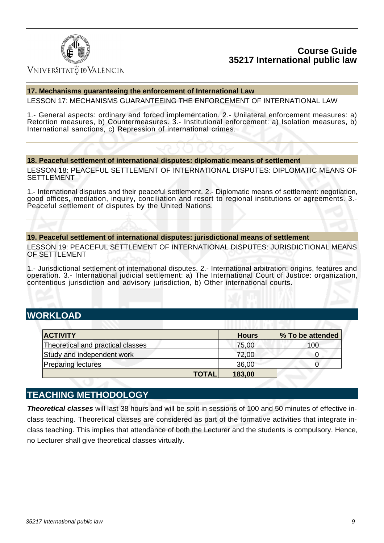

## Vniver§itatğ dValència

### **17. Mechanisms guaranteeing the enforcement of International Law**

LESSON 17: MECHANISMS GUARANTEEING THE ENFORCEMENT OF INTERNATIONAL LAW

1.- General aspects: ordinary and forced implementation. 2.- Unilateral enforcement measures: a) Retortion measures, b) Countermeasures. 3.- Institutional enforcement: a) Isolation measures, b) International sanctions, c) Repression of international crimes.

### **18. Peaceful settlement of international disputes: diplomatic means of settlement**

LESSON 18: PEACEFUL SETTLEMENT OF INTERNATIONAL DISPUTES: DIPLOMATIC MEANS OF SETTLEMENT

1.- International disputes and their peaceful settlement. 2.- Diplomatic means of settlement: negotiation, good offices, mediation, inquiry, conciliation and resort to regional institutions or agreements. 3.- Peaceful settlement of disputes by the United Nations.

#### **19. Peaceful settlement of international disputes: jurisdictional means of settlement**

LESSON 19: PEACEFUL SETTLEMENT OF INTERNATIONAL DISPUTES: JURISDICTIONAL MEANS OF SETTLEMENT

1.- Jurisdictional settlement of international disputes. 2.- International arbitration: origins, features and operation. 3.- International judicial settlement: a) The International Court of Justice: organization, contentious jurisdiction and advisory jurisdiction, b) Other international courts.

# **WORKLOAD**

| <b>ACTIVITY</b>                   | <b>Hours</b> | % To be attended |
|-----------------------------------|--------------|------------------|
| Theoretical and practical classes | 75,00        | 100              |
| Study and independent work        | 72,00        |                  |
| <b>Preparing lectures</b>         | 36,00        |                  |
| <b>TOTAL</b>                      | 183,00       |                  |

## **TEACHING METHODOLOGY**

**Theoretical classes** will last 38 hours and will be split in sessions of 100 and 50 minutes of effective inclass teaching. Theoretical classes are considered as part of the formative activities that integrate inclass teaching. This implies that attendance of both the Lecturer and the students is compulsory. Hence, no Lecturer shall give theoretical classes virtually.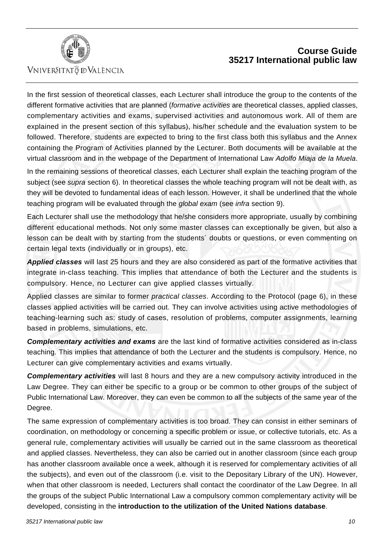

## **Course Guide 35217 International public law**

In the first session of theoretical classes, each Lecturer shall introduce the group to the contents of the different formative activities that are planned (formative activities are theoretical classes, applied classes, complementary activities and exams, supervised activities and autonomous work. All of them are explained in the present section of this syllabus), his/her schedule and the evaluation system to be followed. Therefore, students are expected to bring to the first class both this syllabus and the Annex containing the Program of Activities planned by the Lecturer. Both documents will be available at the virtual classroom and in the webpage of the Department of International Law Adolfo Miaja de la Muela.

In the remaining sessions of theoretical classes, each Lecturer shall explain the teaching program of the subject (see *supra* section 6). In theoretical classes the whole teaching program will not be dealt with, as they will be devoted to fundamental ideas of each lesson. However, it shall be underlined that the whole teaching program will be evaluated through the global exam (see infra section 9).

Each Lecturer shall use the methodology that he/she considers more appropriate, usually by combining different educational methods. Not only some master classes can exceptionally be given, but also a lesson can be dealt with by starting from the students´ doubts or questions, or even commenting on certain legal texts (individually or in groups), etc.

**Applied classes** will last 25 hours and they are also considered as part of the formative activities that integrate in-class teaching. This implies that attendance of both the Lecturer and the students is compulsory. Hence, no Lecturer can give applied classes virtually.

Applied classes are similar to former *practical classes*. According to the Protocol (page 6), in these classes applied activities will be carried out. They can involve activities using active methodologies of teaching-learning such as: study of cases, resolution of problems, computer assignments, learning based in problems, simulations, etc.

**Complementary activities and exams** are the last kind of formative activities considered as in-class teaching. This implies that attendance of both the Lecturer and the students is compulsory. Hence, no Lecturer can give complementary activities and exams virtually.

**Complementary activities** will last 8 hours and they are a new compulsory activity introduced in the Law Degree. They can either be specific to a group or be common to other groups of the subject of Public International Law. Moreover, they can even be common to all the subjects of the same year of the Degree.

The same expression of complementary activities is too broad. They can consist in either seminars of coordination, on methodology or concerning a specific problem or issue, or collective tutorials, etc. As a general rule, complementary activities will usually be carried out in the same classroom as theoretical and applied classes. Nevertheless, they can also be carried out in another classroom (since each group has another classroom available once a week, although it is reserved for complementary activities of all the subjects), and even out of the classroom (i.e. visit to the Depositary Library of the UN). However, when that other classroom is needed, Lecturers shall contact the coordinator of the Law Degree. In all the groups of the subject Public International Law a compulsory common complementary activity will be developed, consisting in the **introduction to the utilization of the United Nations database**.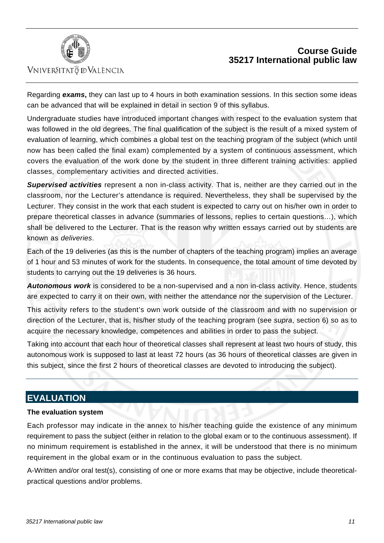



Regarding **exams,** they can last up to 4 hours in both examination sessions. In this section some ideas can be advanced that will be explained in detail in section 9 of this syllabus.

Undergraduate studies have introduced important changes with respect to the evaluation system that was followed in the old degrees. The final qualification of the subject is the result of a mixed system of evaluation of learning, which combines a global test on the teaching program of the subject (which until now has been called the final exam) complemented by a system of continuous assessment, which covers the evaluation of the work done by the student in three different training activities: applied classes, complementary activities and directed activities.

**Supervised activities** represent a non in-class activity. That is, neither are they carried out in the classroom, nor the Lecturer's attendance is required. Nevertheless, they shall be supervised by the Lecturer. They consist in the work that each student is expected to carry out on his/her own in order to prepare theoretical classes in advance (summaries of lessons, replies to certain questions…), which shall be delivered to the Lecturer. That is the reason why written essays carried out by students are known as deliveries.

Each of the 19 deliveries (as this is the number of chapters of the teaching program) implies an average of 1 hour and 53 minutes of work for the students. In consequence, the total amount of time devoted by students to carrying out the 19 deliveries is 36 hours.

**Autonomous work** is considered to be a non-supervised and a non in-class activity. Hence, students are expected to carry it on their own, with neither the attendance nor the supervision of the Lecturer.

This activity refers to the student's own work outside of the classroom and with no supervision or direction of the Lecturer, that is, his/her study of the teaching program (see supra, section 6) so as to acquire the necessary knowledge, competences and abilities in order to pass the subject.

Taking into account that each hour of theoretical classes shall represent at least two hours of study, this autonomous work is supposed to last at least 72 hours (as 36 hours of theoretical classes are given in this subject, since the first 2 hours of theoretical classes are devoted to introducing the subject).

## **EVALUATION**

### **The evaluation system**

Each professor may indicate in the annex to his/her teaching guide the existence of any minimum requirement to pass the subject (either in relation to the global exam or to the continuous assessment). If no minimum requirement is established in the annex, it will be understood that there is no minimum requirement in the global exam or in the continuous evaluation to pass the subject.

A-Written and/or oral test(s), consisting of one or more exams that may be objective, include theoreticalpractical questions and/or problems.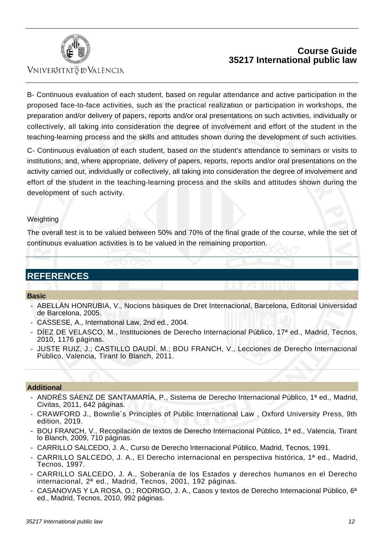

## Vniver§itatğ dValència

## **Course Guide 35217 International public law**

B- Continuous evaluation of each student, based on regular attendance and active participation in the proposed face-to-face activities, such as the practical realization or participation in workshops, the preparation and/or delivery of papers, reports and/or oral presentations on such activities, individually or collectively, all taking into consideration the degree of involvement and effort of the student in the teaching-learning process and the skills and attitudes shown during the development of such activities.

C- Continuous evaluation of each student, based on the student's attendance to seminars or visits to institutions; and, where appropriate, delivery of papers, reports, reports and/or oral presentations on the activity carried out, individually or collectively, all taking into consideration the degree of involvement and effort of the student in the teaching-learning process and the skills and attitudes shown during the development of such activity.

### Weighting

The overall test is to be valued between 50% and 70% of the final grade of the course, while the set of continuous evaluation activities is to be valued in the remaining proportion.

## **REFERENCES**

### **Basic**

- ABELLÁN HONRUBIA, V., Nocions bàsiques de Dret Internacional, Barcelona, Editorial Universidad de Barcelona, 2005.
- CASSESE, A., International Law, 2nd ed., 2004.
- DÍEZ DE VELASCO, M., Instituciones de Derecho Internacional Público, 17<sup>a</sup> ed., Madrid, Tecnos, 2010, 1176 páginas.
- JUSTE RUIZ, J.; CASTILLO DAUDÍ, M.; BOU FRANCH, V., Lecciones de Derecho Internacional Público, Valencia, Tirant lo Blanch, 2011.

### **Additional**

- ANDRÉS SÁENZ DE SANTAMARÍA, P., Sistema de Derecho Internacional Público, 1ª ed., Madrid, Civitas, 2011, 642 páginas.
- CRAWFORD J., Bownlie´s Principles of Public International Law , Oxford University Press, 9th edition, 2019.
- BOU FRANCH, V., Recopilación de textos de Derecho Internacional Público. 1ª ed., Valencia. Tirant lo Blanch, 2009, 710 páginas.
- CARRILLO SALCEDO, J. A., Curso de Derecho Internacional Público, Madrid, Tecnos, 1991.
- CARRILLO SALCEDO, J. A., El Derecho internacional en perspectiva histórica, 1ª ed., Madrid, Tecnos, 1997.
- CARRILLO SALCEDO, J. A., Soberanía de los Estados y derechos humanos en el Derecho internacional, 2ª ed., Madrid, Tecnos, 2001, 192 páginas.
- CASANOVAS Y LA ROSA. O.; RODRIGO, J. A., Casos y textos de Derecho Internacional Público, 6<sup>a</sup> ed., Madrid, Tecnos, 2010, 992 páginas.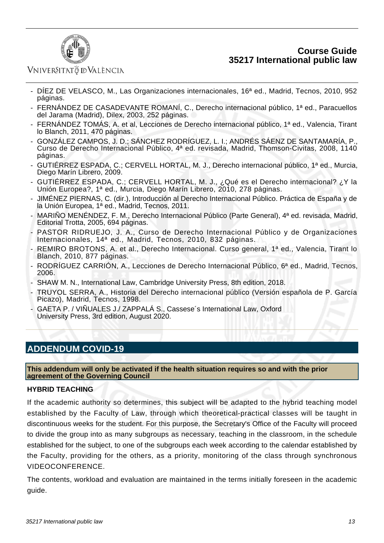

## Vniver§itatğ dValència

- DÍEZ DE VELASCO, M., Las Organizaciones internacionales, 16ª ed., Madrid, Tecnos, 2010, 952 páginas.
- FERNÁNDEZ DE CASADEVANTE ROMANÍ, C., Derecho internacional público, 1ª ed., Paracuellos del Jarama (Madrid), Dilex, 2003, 252 páginas.
- FERNÁNDEZ TOMÁS, A. et al, Lecciones de Derecho internacional público, 1ª ed., Valencia, Tirant lo Blanch, 2011, 470 páginas.
- GONZÁLEZ CAMPOS, J. D.; SÁNCHEZ RODRÍGUEZ, L. I.; ANDRÉS SÁENZ DE SANTAMARÍA, P., Curso de Derecho Internacional Público, 4ª ed. revisada, Madrid, Thomson-Civitas, 2008, 1140 páginas.
- GUTIÉRREZ ESPADA, C.; CERVELL HORTAL, M. J., Derecho internacional público, 1ª ed., Murcia, Diego Marín Librero, 2009.
- GUTIÉRREZ ESPADA, C.; CERVELL HORTAL, M. J., ¿Qué es el Derecho internacional? ¿Y la Unión Europea?, 1ª ed., Murcia, Diego Marín Librero, 2010, 278 páginas.
- JIMÉNEZ PIERNAS, C. (dir.), Introducción al Derecho Internacional Público. Práctica de España y de la Unión Europea, 1ª ed., Madrid, Tecnos, 2011.
- MARIÑO MENÉNDEZ, F. M., Derecho Internacional Público (Parte General), 4ª ed. revisada, Madrid, Editorial Trotta, 2005, 694 páginas.
- PASTOR RIDRUEJO, J. A., Curso de Derecho Internacional Público y de Organizaciones Internacionales, 14ª ed., Madrid, Tecnos, 2010, 832 páginas.
- REMIRO BROTONS, A. et al., Derecho Internacional. Curso general, 1ª ed., Valencia, Tirant lo Blanch, 2010, 877 páginas.
- RODRÍGUEZ CARRIÓN, A., Lecciones de Derecho Internacional Público, 6ª ed., Madrid, Tecnos, 2006.
- SHAW M. N., International Law, Cambridge University Press, 8th edition, 2018.
- TRUYOL SERRA, A., Historia del Derecho internacional público (Versión española de P. García Picazo), Madrid, Tecnos, 1998.
- GAETA P. / VIÑUALES J./ ZAPPALÁ S., Cassese's International Law, Oxford University Press, 3rd edition, August 2020.

# **ADDENDUM COVID-19**

**This addendum will only be activated if the health situation requires so and with the prior agreement of the Governing Council**

### **HYBRID TEACHING**

If the academic authority so determines, this subject will be adapted to the hybrid teaching model established by the Faculty of Law, through which theoretical-practical classes will be taught in discontinuous weeks for the student. For this purpose, the Secretary's Office of the Faculty will proceed to divide the group into as many subgroups as necessary, teaching in the classroom, in the schedule established for the subject, to one of the subgroups each week according to the calendar established by the Faculty, providing for the others, as a priority, monitoring of the class through synchronous VIDEOCONFERENCE.

The contents, workload and evaluation are maintained in the terms initially foreseen in the academic guide.